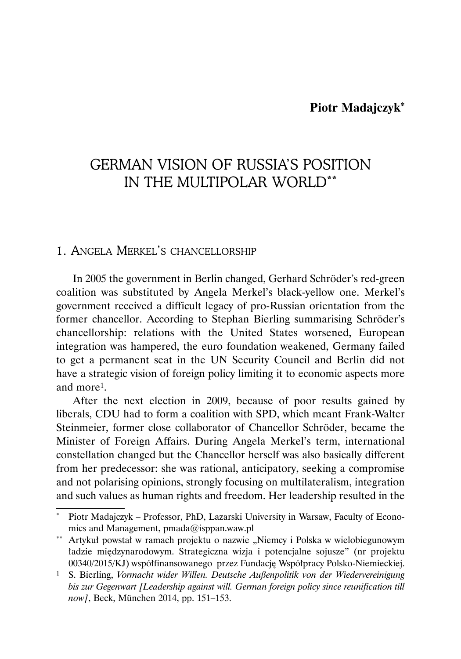# **Piotr Madajczyk\***

# GERMAN VISION OF RUSSIA'S POSITION IN THE MULTIPOLAR WORLD\*\*

# 1. ANGELA MERKEL'S CHANCELLORSHIP

In 2005 the government in Berlin changed, Gerhard Schröder's red-green coalition was substituted by Angela Merkel's black-yellow one. Merkel's government received a difficult legacy of pro-Russian orientation from the former chancellor. According to Stephan Bierling summarising Schröder's chancellorship: relations with the United States worsened, European integration was hampered, the euro foundation weakened, Germany failed to get a permanent seat in the UN Security Council and Berlin did not have a strategic vision of foreign policy limiting it to economic aspects more and more1.

After the next election in 2009, because of poor results gained by liberals, CDU had to form a coalition with SPD, which meant Frank-Walter Steinmeier, former close collaborator of Chancellor Schröder, became the Minister of Foreign Affairs. During Angela Merkel's term, international constellation changed but the Chancellor herself was also basically different from her predecessor: she was rational, anticipatory, seeking a compromise and not polarising opinions, strongly focusing on multilateralism, integration and such values as human rights and freedom. Her leadership resulted in the

Piotr Madajczyk – Professor, PhD, Lazarski University in Warsaw, Faculty of Economics and Management, pmada@isppan.waw.pl

<sup>\*\*</sup> Artykuł powstał w ramach projektu o nazwie "Niemcy i Polska w wielobiegunowym ładzie międzynarodowym. Strategiczna wizja i potencjalne sojusze" (nr projektu 00340/2015/KJ) współfinansowanego przez Fundację Współpracy Polsko-Niemieckiej.

<sup>1</sup> S. Bierling, *Vormacht wider Willen. Deutsche Außenpolitik von der Wiedervereinigung bis zur Gegenwart [Leadership against will. German foreign policy since reunification till now]*, Beck, München 2014, pp. 151–153.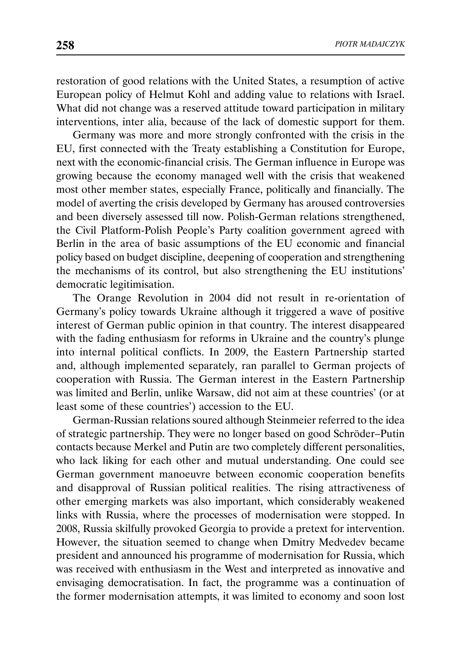restoration of good relations with the United States, a resumption of active European policy of Helmut Kohl and adding value to relations with Israel. What did not change was a reserved attitude toward participation in military interventions, inter alia, because of the lack of domestic support for them.

Germany was more and more strongly confronted with the crisis in the EU, first connected with the Treaty establishing a Constitution for Europe, next with the economic-financial crisis. The German influence in Europe was growing because the economy managed well with the crisis that weakened most other member states, especially France, politically and financially. The model of averting the crisis developed by Germany has aroused controversies and been diversely assessed till now. Polish-German relations strengthened, the Civil Platform-Polish People's Party coalition government agreed with Berlin in the area of basic assumptions of the EU economic and financial policy based on budget discipline, deepening of cooperation and strengthening the mechanisms of its control, but also strengthening the EU institutions' democratic legitimisation.

The Orange Revolution in 2004 did not result in re-orientation of Germany's policy towards Ukraine although it triggered a wave of positive interest of German public opinion in that country. The interest disappeared with the fading enthusiasm for reforms in Ukraine and the country's plunge into internal political conflicts. In 2009, the Eastern Partnership started and, although implemented separately, ran parallel to German projects of cooperation with Russia. The German interest in the Eastern Partnership was limited and Berlin, unlike Warsaw, did not aim at these countries' (or at least some of these countries') accession to the EU.

German-Russian relations soured although Steinmeier referred to the idea of strategic partnership. They were no longer based on good Schröder–Putin contacts because Merkel and Putin are two completely different personalities, who lack liking for each other and mutual understanding. One could see German government manoeuvre between economic cooperation benefits and disapproval of Russian political realities. The rising attractiveness of other emerging markets was also important, which considerably weakened links with Russia, where the processes of modernisation were stopped. In 2008, Russia skilfully provoked Georgia to provide a pretext for intervention. However, the situation seemed to change when Dmitry Medvedev became president and announced his programme of modernisation for Russia, which was received with enthusiasm in the West and interpreted as innovative and envisaging democratisation. In fact, the programme was a continuation of the former modernisation attempts, it was limited to economy and soon lost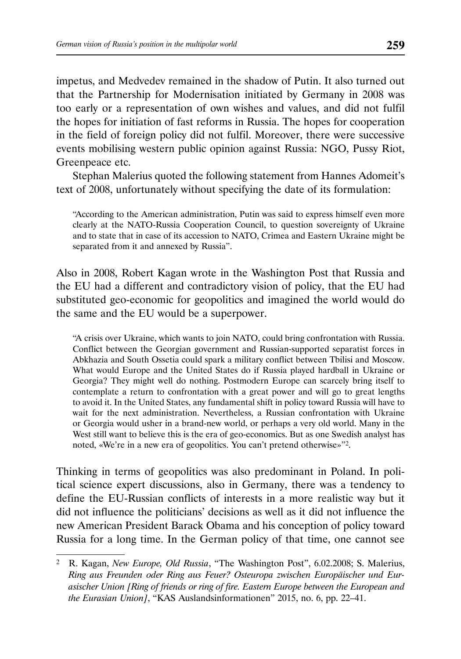impetus, and Medvedev remained in the shadow of Putin. It also turned out that the Partnership for Modernisation initiated by Germany in 2008 was too early or a representation of own wishes and values, and did not fulfil the hopes for initiation of fast reforms in Russia. The hopes for cooperation in the field of foreign policy did not fulfil. Moreover, there were successive events mobilising western public opinion against Russia: NGO, Pussy Riot, Greenpeace etc.

Stephan Malerius quoted the following statement from Hannes Adomeit's text of 2008, unfortunately without specifying the date of its formulation:

"According to the American administration, Putin was said to express himself even more clearly at the NATO-Russia Cooperation Council, to question sovereignty of Ukraine and to state that in case of its accession to NATO, Crimea and Eastern Ukraine might be separated from it and annexed by Russia".

Also in 2008, Robert Kagan wrote in the Washington Post that Russia and the EU had a different and contradictory vision of policy, that the EU had substituted geo-economic for geopolitics and imagined the world would do the same and the EU would be a superpower.

"A crisis over Ukraine, which wants to join NATO, could bring confrontation with Russia. Conflict between the Georgian government and Russian-supported separatist forces in Abkhazia and South Ossetia could spark a military conflict between Tbilisi and Moscow. What would Europe and the United States do if Russia played hardball in Ukraine or Georgia? They might well do nothing. Postmodern Europe can scarcely bring itself to contemplate a return to confrontation with a great power and will go to great lengths to avoid it. In the United States, any fundamental shift in policy toward Russia will have to wait for the next administration. Nevertheless, a Russian confrontation with Ukraine or Georgia would usher in a brand-new world, or perhaps a very old world. Many in the West still want to believe this is the era of geo-economics. But as one Swedish analyst has noted, «We're in a new era of geopolitics. You can't pretend otherwise»"2.

Thinking in terms of geopolitics was also predominant in Poland. In political science expert discussions, also in Germany, there was a tendency to define the EU-Russian conflicts of interests in a more realistic way but it did not influence the politicians' decisions as well as it did not influence the new American President Barack Obama and his conception of policy toward Russia for a long time. In the German policy of that time, one cannot see

<sup>2</sup> R. Kagan, *New Europe, Old Russia*, "The Washington Post", 6.02.2008; S. Malerius, *Ring aus Freunden oder Ring aus Feuer? Osteuropa zwischen Europäischer und Eurasischer Union [Ring of friends or ring of fire. Eastern Europe between the European and the Eurasian Union]*, "KAS Auslandsinformationen" 2015, no. 6, pp. 22–41.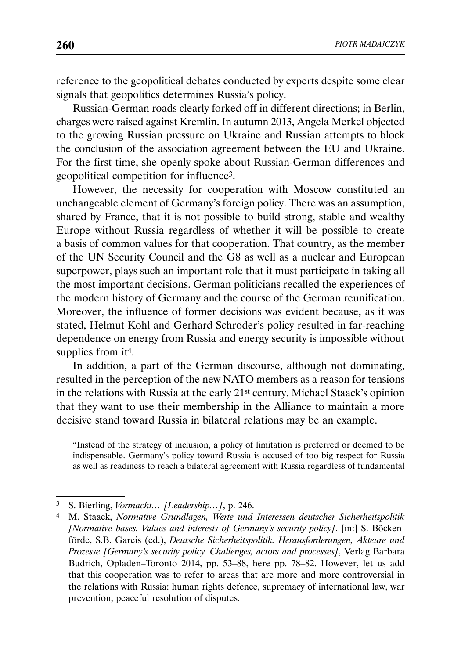reference to the geopolitical debates conducted by experts despite some clear signals that geopolitics determines Russia's policy.

Russian-German roads clearly forked off in different directions; in Berlin, charges were raised against Kremlin. In autumn 2013, Angela Merkel objected to the growing Russian pressure on Ukraine and Russian attempts to block the conclusion of the association agreement between the EU and Ukraine. For the first time, she openly spoke about Russian-German differences and geopolitical competition for influence3.

However, the necessity for cooperation with Moscow constituted an unchangeable element of Germany's foreign policy. There was an assumption, shared by France, that it is not possible to build strong, stable and wealthy Europe without Russia regardless of whether it will be possible to create a basis of common values for that cooperation. That country, as the member of the UN Security Council and the G8 as well as a nuclear and European superpower, plays such an important role that it must participate in taking all the most important decisions. German politicians recalled the experiences of the modern history of Germany and the course of the German reunification. Moreover, the influence of former decisions was evident because, as it was stated, Helmut Kohl and Gerhard Schröder's policy resulted in far-reaching dependence on energy from Russia and energy security is impossible without supplies from it<sup>4</sup>.

In addition, a part of the German discourse, although not dominating, resulted in the perception of the new NATO members as a reason for tensions in the relations with Russia at the early 21st century. Michael Staack's opinion that they want to use their membership in the Alliance to maintain a more decisive stand toward Russia in bilateral relations may be an example.

"Instead of the strategy of inclusion, a policy of limitation is preferred or deemed to be indispensable. Germany's policy toward Russia is accused of too big respect for Russia as well as readiness to reach a bilateral agreement with Russia regardless of fundamental

<sup>3</sup> S. Bierling, *Vormacht… [Leadership…]*, p. 246.

<sup>4</sup> M. Staack, *Normative Grundlagen, Werte und Interessen deutscher Sicherheitspolitik [Normative bases. Values and interests of Germany's security policy]*, [in:] S. Böckenförde, S.B. Gareis (ed.), *Deutsche Sicherheitspolitik. Herausforderungen, Akteure und Prozesse [Germany's security policy. Challenges, actors and processes]*, Verlag Barbara Budrich, Opladen–Toronto 2014, pp. 53–88, here pp. 78–82. However, let us add that this cooperation was to refer to areas that are more and more controversial in the relations with Russia: human rights defence, supremacy of international law, war prevention, peaceful resolution of disputes.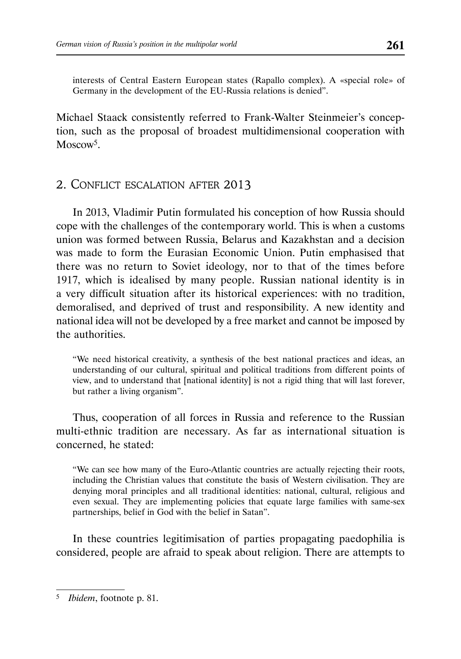interests of Central Eastern European states (Rapallo complex). A «special role» of Germany in the development of the EU-Russia relations is denied".

Michael Staack consistently referred to Frank-Walter Steinmeier's conception, such as the proposal of broadest multidimensional cooperation with Moscow<sup>5</sup>.

# 2. CONFLICT ESCALATION AFTER 2013

In 2013, Vladimir Putin formulated his conception of how Russia should cope with the challenges of the contemporary world. This is when a customs union was formed between Russia, Belarus and Kazakhstan and a decision was made to form the Eurasian Economic Union. Putin emphasised that there was no return to Soviet ideology, nor to that of the times before 1917, which is idealised by many people. Russian national identity is in a very difficult situation after its historical experiences: with no tradition, demoralised, and deprived of trust and responsibility. A new identity and national idea will not be developed by a free market and cannot be imposed by the authorities.

"We need historical creativity, a synthesis of the best national practices and ideas, an understanding of our cultural, spiritual and political traditions from different points of view, and to understand that [national identity] is not a rigid thing that will last forever, but rather a living organism".

Thus, cooperation of all forces in Russia and reference to the Russian multi-ethnic tradition are necessary. As far as international situation is concerned, he stated:

"We can see how many of the Euro-Atlantic countries are actually rejecting their roots, including the Christian values that constitute the basis of Western civilisation. They are denying moral principles and all traditional identities: national, cultural, religious and even sexual. They are implementing policies that equate large families with same-sex partnerships, belief in God with the belief in Satan".

In these countries legitimisation of parties propagating paedophilia is considered, people are afraid to speak about religion. There are attempts to

<sup>5</sup> *Ibidem*, footnote p. 81.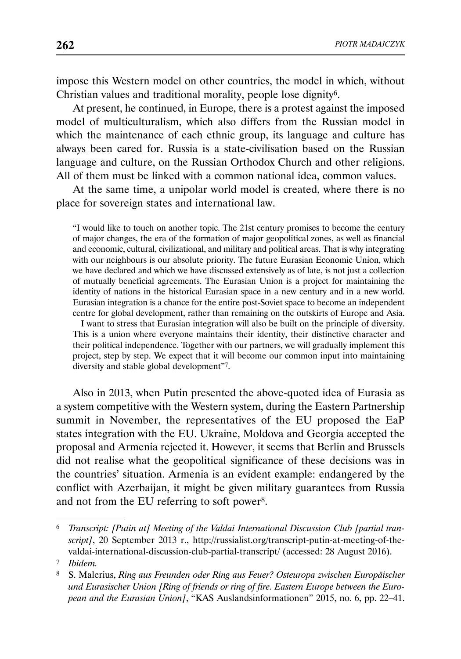impose this Western model on other countries, the model in which, without Christian values and traditional morality, people lose dignity6.

At present, he continued, in Europe, there is a protest against the imposed model of multiculturalism, which also differs from the Russian model in which the maintenance of each ethnic group, its language and culture has always been cared for. Russia is a state-civilisation based on the Russian language and culture, on the Russian Orthodox Church and other religions. All of them must be linked with a common national idea, common values.

At the same time, a unipolar world model is created, where there is no place for sovereign states and international law.

"I would like to touch on another topic. The 21st century promises to become the century of major changes, the era of the formation of major geopolitical zones, as well as financial and economic, cultural, civilizational, and military and political areas. That is why integrating with our neighbours is our absolute priority. The future Eurasian Economic Union, which we have declared and which we have discussed extensively as of late, is not just a collection of mutually beneficial agreements. The Eurasian Union is a project for maintaining the identity of nations in the historical Eurasian space in a new century and in a new world. Eurasian integration is a chance for the entire post-Soviet space to become an independent centre for global development, rather than remaining on the outskirts of Europe and Asia.

I want to stress that Eurasian integration will also be built on the principle of diversity. This is a union where everyone maintains their identity, their distinctive character and their political independence. Together with our partners, we will gradually implement this project, step by step. We expect that it will become our common input into maintaining diversity and stable global development"7.

Also in 2013, when Putin presented the above-quoted idea of Eurasia as a system competitive with the Western system, during the Eastern Partnership summit in November, the representatives of the EU proposed the EaP states integration with the EU. Ukraine, Moldova and Georgia accepted the proposal and Armenia rejected it. However, it seems that Berlin and Brussels did not realise what the geopolitical significance of these decisions was in the countries' situation. Armenia is an evident example: endangered by the conflict with Azerbaijan, it might be given military guarantees from Russia and not from the EU referring to soft power8.

<sup>6</sup> *Transcript: [Putin at] Meeting of the Valdai International Discussion Club [partial transcript]*, 20 September 2013 r., http://russialist.org/transcript-putin-at-meeting-of-thevaldai-international-discussion-club-partial-transcript/ (accessed: 28 August 2016).

<sup>7</sup> *Ibidem.*

<sup>8</sup> S. Malerius, *Ring aus Freunden oder Ring aus Feuer? Osteuropa zwischen Europäischer und Eurasischer Union [Ring of friends or ring of fire. Eastern Europe between the European and the Eurasian Union]*, "KAS Auslandsinformationen" 2015, no. 6, pp. 22–41.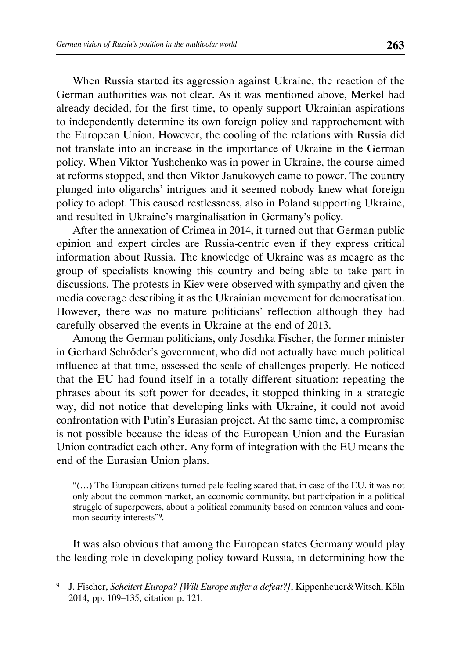When Russia started its aggression against Ukraine, the reaction of the German authorities was not clear. As it was mentioned above, Merkel had already decided, for the first time, to openly support Ukrainian aspirations to independently determine its own foreign policy and rapprochement with the European Union. However, the cooling of the relations with Russia did not translate into an increase in the importance of Ukraine in the German policy. When Viktor Yushchenko was in power in Ukraine, the course aimed at reforms stopped, and then Viktor Janukovych came to power. The country plunged into oligarchs' intrigues and it seemed nobody knew what foreign policy to adopt. This caused restlessness, also in Poland supporting Ukraine, and resulted in Ukraine's marginalisation in Germany's policy.

After the annexation of Crimea in 2014, it turned out that German public opinion and expert circles are Russia-centric even if they express critical information about Russia. The knowledge of Ukraine was as meagre as the group of specialists knowing this country and being able to take part in discussions. The protests in Kiev were observed with sympathy and given the media coverage describing it as the Ukrainian movement for democratisation. However, there was no mature politicians' reflection although they had carefully observed the events in Ukraine at the end of 2013.

Among the German politicians, only Joschka Fischer, the former minister in Gerhard Schröder's government, who did not actually have much political influence at that time, assessed the scale of challenges properly. He noticed that the EU had found itself in a totally different situation: repeating the phrases about its soft power for decades, it stopped thinking in a strategic way, did not notice that developing links with Ukraine, it could not avoid confrontation with Putin's Eurasian project. At the same time, a compromise is not possible because the ideas of the European Union and the Eurasian Union contradict each other. Any form of integration with the EU means the end of the Eurasian Union plans.

"(…) The European citizens turned pale feeling scared that, in case of the EU, it was not only about the common market, an economic community, but participation in a political struggle of superpowers, about a political community based on common values and common security interests"9.

It was also obvious that among the European states Germany would play the leading role in developing policy toward Russia, in determining how the

<sup>9</sup> J. Fischer, *Scheitert Europa? [Will Europe suffer a defeat?]*, Kippenheuer&Witsch, Köln 2014, pp. 109–135, citation p. 121.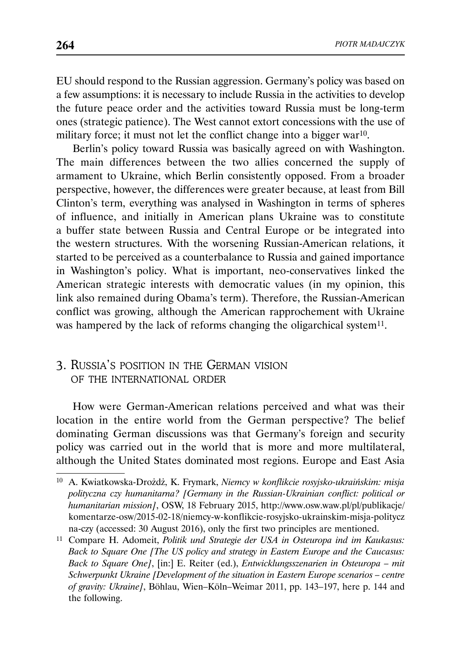EU should respond to the Russian aggression. Germany's policy was based on a few assumptions: it is necessary to include Russia in the activities to develop the future peace order and the activities toward Russia must be long-term ones (strategic patience). The West cannot extort concessions with the use of military force; it must not let the conflict change into a bigger war<sup>10</sup>.

Berlin's policy toward Russia was basically agreed on with Washington. The main differences between the two allies concerned the supply of armament to Ukraine, which Berlin consistently opposed. From a broader perspective, however, the differences were greater because, at least from Bill Clinton's term, everything was analysed in Washington in terms of spheres of influence, and initially in American plans Ukraine was to constitute a buffer state between Russia and Central Europe or be integrated into the western structures. With the worsening Russian-American relations, it started to be perceived as a counterbalance to Russia and gained importance in Washington's policy. What is important, neo-conservatives linked the American strategic interests with democratic values (in my opinion, this link also remained during Obama's term). Therefore, the Russian-American conflict was growing, although the American rapprochement with Ukraine was hampered by the lack of reforms changing the oligarchical system<sup>11</sup>.

# 3. RUSSIA'S POSITION IN THE GERMAN VISION OF THE INTERNATIONAL ORDER

How were German-American relations perceived and what was their location in the entire world from the German perspective? The belief dominating German discussions was that Germany's foreign and security policy was carried out in the world that is more and more multilateral, although the United States dominated most regions. Europe and East Asia

<sup>10</sup> A. Kwiatkowska-Drożdż, K. Frymark, *Niemcy w konflikcie rosyjsko-ukraińskim: misja polityczna czy humanitarna? [Germany in the Russian-Ukrainian conflict: political or humanitarian mission]*, OSW, 18 February 2015, http://www.osw.waw.pl/pl/publikacje/ komentarze-osw/2015-02-18/niemcy-w-konflikcie-rosyjsko-ukrainskim-misja-politycz na-czy (accessed: 30 August 2016), only the first two principles are mentioned.

<sup>11</sup> Compare H. Adomeit, *Politik und Strategie der USA in Osteuropa ind im Kaukasus: Back to Square One [The US policy and strategy in Eastern Europe and the Caucasus: Back to Square One]*, [in:] E. Reiter (ed.), *Entwicklungsszenarien in Osteuropa – mit Schwerpunkt Ukraine [Development of the situation in Eastern Europe scenarios – centre of gravity: Ukraine]*, Böhlau, Wien–Köln–Weimar 2011, pp. 143–197, here p. 144 and the following.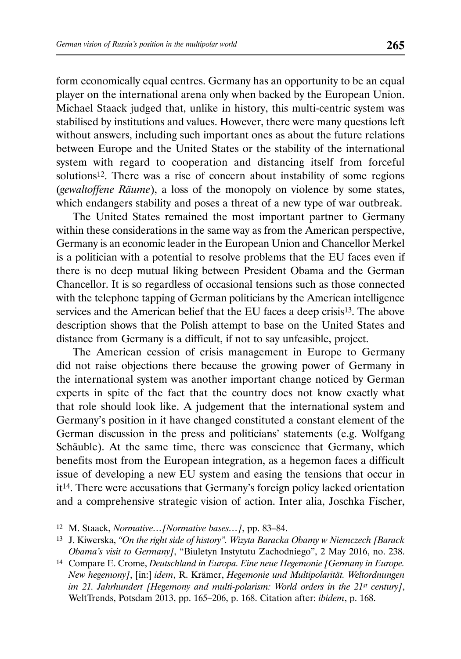form economically equal centres. Germany has an opportunity to be an equal player on the international arena only when backed by the European Union. Michael Staack judged that, unlike in history, this multi-centric system was stabilised by institutions and values. However, there were many questions left without answers, including such important ones as about the future relations between Europe and the United States or the stability of the international system with regard to cooperation and distancing itself from forceful solutions<sup>12</sup>. There was a rise of concern about instability of some regions (*gewaltoffene Räume*), a loss of the monopoly on violence by some states, which endangers stability and poses a threat of a new type of war outbreak.

The United States remained the most important partner to Germany within these considerations in the same way as from the American perspective, Germany is an economic leader in the European Union and Chancellor Merkel is a politician with a potential to resolve problems that the EU faces even if there is no deep mutual liking between President Obama and the German Chancellor. It is so regardless of occasional tensions such as those connected with the telephone tapping of German politicians by the American intelligence services and the American belief that the EU faces a deep crisis<sup>13</sup>. The above description shows that the Polish attempt to base on the United States and distance from Germany is a difficult, if not to say unfeasible, project.

The American cession of crisis management in Europe to Germany did not raise objections there because the growing power of Germany in the international system was another important change noticed by German experts in spite of the fact that the country does not know exactly what that role should look like. A judgement that the international system and Germany's position in it have changed constituted a constant element of the German discussion in the press and politicians' statements (e.g. Wolfgang Schäuble). At the same time, there was conscience that Germany, which benefits most from the European integration, as a hegemon faces a difficult issue of developing a new EU system and easing the tensions that occur in it14. There were accusations that Germany's foreign policy lacked orientation and a comprehensive strategic vision of action. Inter alia, Joschka Fischer,

<sup>12</sup> M. Staack, *Normative…[Normative bases…]*, pp. 83–84.

<sup>13</sup> J. Kiwerska, *"On the right side of history". Wizyta Baracka Obamy w Niemczech [Barack Obama's visit to Germany]*, "Biuletyn Instytutu Zachodniego", 2 May 2016, no. 238.

<sup>14</sup> Compare E. Crome, *Deutschland in Europa. Eine neue Hegemonie [Germany in Europe. New hegemony]*, [in:] *idem*, R. Krämer, *Hegemonie und Multipolarität. Weltordnungen im 21. Jahrhundert [Hegemony and multi-polarism: World orders in the 21st century]*, WeltTrends, Potsdam 2013, pp. 165–206, p. 168. Citation after: *ibidem*, p. 168.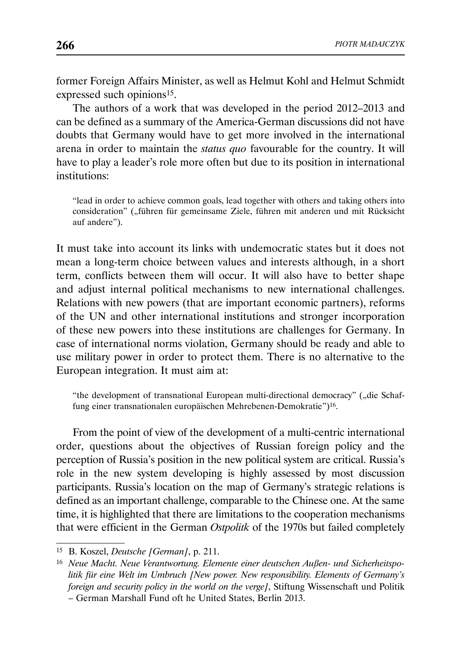former Foreign Affairs Minister, as well as Helmut Kohl and Helmut Schmidt expressed such opinions15.

The authors of a work that was developed in the period 2012–2013 and can be defined as a summary of the America-German discussions did not have doubts that Germany would have to get more involved in the international arena in order to maintain the *status quo* favourable for the country. It will have to play a leader's role more often but due to its position in international institutions:

"lead in order to achieve common goals, lead together with others and taking others into consideration" ("führen für gemeinsame Ziele, führen mit anderen und mit Rücksicht auf andere").

It must take into account its links with undemocratic states but it does not mean a long-term choice between values and interests although, in a short term, conflicts between them will occur. It will also have to better shape and adjust internal political mechanisms to new international challenges. Relations with new powers (that are important economic partners), reforms of the UN and other international institutions and stronger incorporation of these new powers into these institutions are challenges for Germany. In case of international norms violation, Germany should be ready and able to use military power in order to protect them. There is no alternative to the European integration. It must aim at:

"the development of transnational European multi-directional democracy" ("die Schaffung einer transnationalen europäischen Mehrebenen-Demokratie")16.

From the point of view of the development of a multi-centric international order, questions about the objectives of Russian foreign policy and the perception of Russia's position in the new political system are critical. Russia's role in the new system developing is highly assessed by most discussion participants. Russia's location on the map of Germany's strategic relations is defined as an important challenge, comparable to the Chinese one. At the same time, it is highlighted that there are limitations to the cooperation mechanisms that were efficient in the German *Ostpolitk* of the 1970s but failed completely

<sup>15</sup> B. Koszel, *Deutsche [German]*, p. 211.

<sup>16</sup> *Neue Macht. Neue Verantwortung. Elemente einer deutschen Außen- und Sicherheitspolitik für eine Welt im Umbruch [New power. New responsibility. Elements of Germany's foreign and security policy in the world on the verge]*, Stiftung Wissenschaft und Politik – German Marshall Fund oft he United States, Berlin 2013.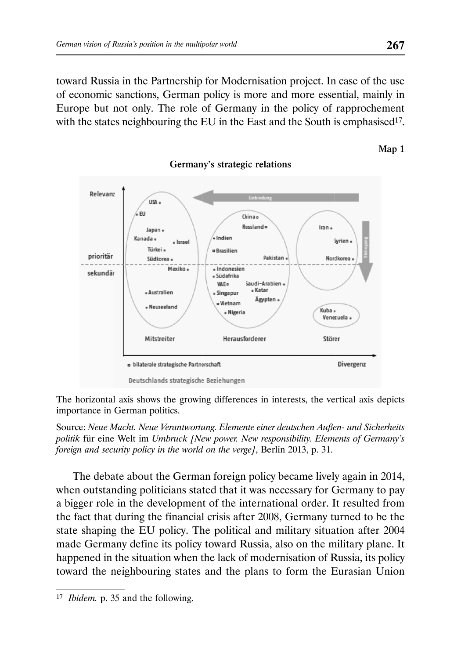toward Russia in the Partnership for Modernisation project. In case of the use of economic sanctions, German policy is more and more essential, mainly in Europe but not only. The role of Germany in the policy of rapprochement with the states neighbouring the EU in the East and the South is emphasised<sup>17</sup>.



## Germany's strategic relations

The horizontal axis shows the growing differences in interests, the vertical axis depicts importance in German politics.

Source: *Neue Macht. Neue Verantwortung. Elemente einer deutschen Außen- und Sicherheits politik* für eine Welt im *Umbruck [New power. New responsibility. Elements of Germany's foreign and security policy in the world on the verge]*, Berlin 2013, p. 31.

The debate about the German foreign policy became lively again in 2014, when outstanding politicians stated that it was necessary for Germany to pay a bigger role in the development of the international order. It resulted from the fact that during the financial crisis after 2008, Germany turned to be the state shaping the EU policy. The political and military situation after 2004 made Germany define its policy toward Russia, also on the military plane. It happened in the situation when the lack of modernisation of Russia, its policy toward the neighbouring states and the plans to form the Eurasian Union

Map 1

<sup>17</sup> *Ibidem.* p. 35 and the following.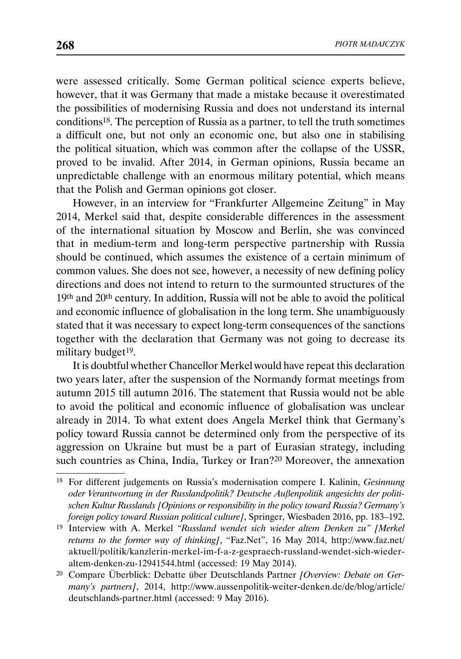were assessed critically. Some German political science experts believe, however, that it was Germany that made a mistake because it overestimated the possibilities of modernising Russia and does not understand its internal conditions18. The perception of Russia as a partner, to tell the truth sometimes a difficult one, but not only an economic one, but also one in stabilising the political situation, which was common after the collapse of the USSR, proved to be invalid. After 2014, in German opinions, Russia became an unpredictable challenge with an enormous military potential, which means that the Polish and German opinions got closer.

However, in an interview for "Frankfurter Allgemeine Zeitung" in May 2014, Merkel said that, despite considerable differences in the assessment of the international situation by Moscow and Berlin, she was convinced that in medium-term and long-term perspective partnership with Russia should be continued, which assumes the existence of a certain minimum of common values. She does not see, however, a necessity of new defining policy directions and does not intend to return to the surmounted structures of the 19th and 20th century. In addition, Russia will not be able to avoid the political and economic influence of globalisation in the long term. She unambiguously stated that it was necessary to expect long-term consequences of the sanctions together with the declaration that Germany was not going to decrease its military budget<sup>19</sup>.

It is doubtful whether Chancellor Merkel would have repeat this declaration two years later, after the suspension of the Normandy format meetings from autumn 2015 till autumn 2016. The statement that Russia would not be able to avoid the political and economic influence of globalisation was unclear already in 2014. To what extent does Angela Merkel think that Germany's policy toward Russia cannot be determined only from the perspective of its aggression on Ukraine but must be a part of Eurasian strategy, including such countries as China, India, Turkey or Iran?20 Moreover, the annexation

<sup>18</sup> For different judgements on Russia's modernisation compere I. Kalinin, *Gesinnung oder Verantwortung in der Russlandpolitik? Deutsche Außenpolitik angesichts der politischen Kultur Russlands [Opinions or responsibility in the policy toward Russia? Germany's foreign policy toward Russian political culture]*, Springer, Wiesbaden 2016, pp. 183–192.

<sup>19</sup> Interview with A. Merkel *"Russland wendet sich wieder altem Denken zu" [Merkel returns to the former way of thinking]*, "Faz.Net", 16 May 2014, http://www.faz.net/ aktuell/politik/kanzlerin-merkel-im-f-a-z-gespraech-russland-wendet-sich-wiederaltem-denken-zu-12941544.html (accessed: 19 May 2014).

<sup>20</sup> Compare Überblick: Debatte über Deutschlands Partner *[Overview: Debate on Germany's partners]*, 2014, http://www.aussenpolitik-weiter-denken.de/de/blog/article/ deutschlands-partner.html (accessed: 9 May 2016).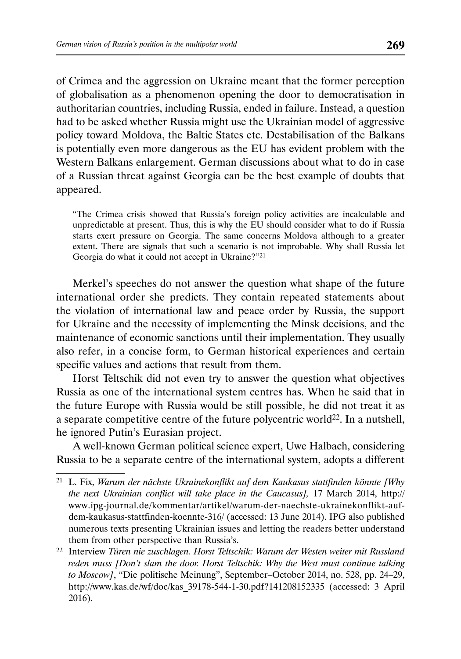of Crimea and the aggression on Ukraine meant that the former perception of globalisation as a phenomenon opening the door to democratisation in authoritarian countries, including Russia, ended in failure. Instead, a question had to be asked whether Russia might use the Ukrainian model of aggressive policy toward Moldova, the Baltic States etc. Destabilisation of the Balkans is potentially even more dangerous as the EU has evident problem with the Western Balkans enlargement. German discussions about what to do in case of a Russian threat against Georgia can be the best example of doubts that appeared.

"The Crimea crisis showed that Russia's foreign policy activities are incalculable and unpredictable at present. Thus, this is why the EU should consider what to do if Russia starts exert pressure on Georgia. The same concerns Moldova although to a greater extent. There are signals that such a scenario is not improbable. Why shall Russia let Georgia do what it could not accept in Ukraine?"21

Merkel's speeches do not answer the question what shape of the future international order she predicts. They contain repeated statements about the violation of international law and peace order by Russia, the support for Ukraine and the necessity of implementing the Minsk decisions, and the maintenance of economic sanctions until their implementation. They usually also refer, in a concise form, to German historical experiences and certain specific values and actions that result from them.

Horst Teltschik did not even try to answer the question what objectives Russia as one of the international system centres has. When he said that in the future Europe with Russia would be still possible, he did not treat it as a separate competitive centre of the future polycentric world22. In a nutshell, he ignored Putin's Eurasian project.

A well-known German political science expert, Uwe Halbach, considering Russia to be a separate centre of the international system, adopts a different

<sup>21</sup> L. Fix, *Warum der nächste Ukrainekonflikt auf dem Kaukasus stattfinden könnte [Why the next Ukrainian conflict will take place in the Caucasus],* 17 March 2014, http:// www.ipg-journal.de/kommentar/artikel/warum-der-naechste-ukrainekonflikt-aufdem-kaukasus-stattfinden-koennte-316/ (accessed: 13 June 2014). IPG also published numerous texts presenting Ukrainian issues and letting the readers better understand them from other perspective than Russia's.

<sup>22</sup> Interview *Türen nie zuschlagen. Horst Teltschik: Warum der Westen weiter mit Russland reden muss [Don't slam the door. Horst Teltschik: Why the West must continue talking to Moscow]*, "Die politische Meinung", September–October 2014, no. 528, pp. 24–29, http://www.kas.de/wf/doc/kas\_39178-544-1-30.pdf?141208152335 (accessed: 3 April 2016).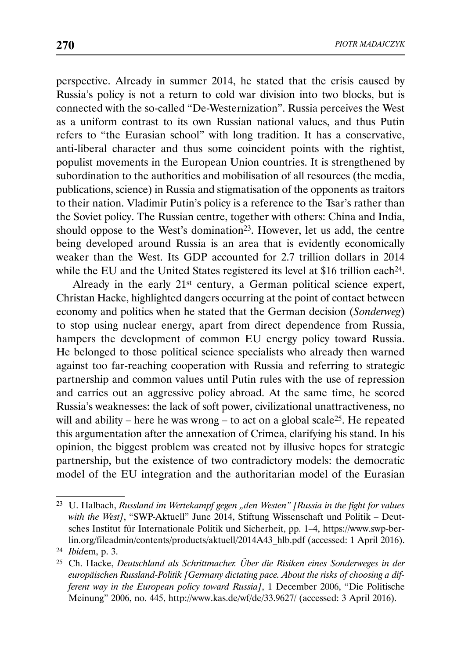perspective. Already in summer 2014, he stated that the crisis caused by Russia's policy is not a return to cold war division into two blocks, but is connected with the so-called "De-Westernization". Russia perceives the West as a uniform contrast to its own Russian national values, and thus Putin refers to "the Eurasian school" with long tradition. It has a conservative, anti-liberal character and thus some coincident points with the rightist, populist movements in the European Union countries. It is strengthened by subordination to the authorities and mobilisation of all resources (the media, publications, science) in Russia and stigmatisation of the opponents as traitors to their nation. Vladimir Putin's policy is a reference to the Tsar's rather than the Soviet policy. The Russian centre, together with others: China and India, should oppose to the West's domination<sup>23</sup>. However, let us add, the centre being developed around Russia is an area that is evidently economically weaker than the West. Its GDP accounted for 2.7 trillion dollars in 2014 while the EU and the United States registered its level at \$16 trillion each<sup>24</sup>.

Already in the early 21st century, a German political science expert, Christan Hacke, highlighted dangers occurring at the point of contact between economy and politics when he stated that the German decision (*Sonderweg*) to stop using nuclear energy, apart from direct dependence from Russia, hampers the development of common EU energy policy toward Russia. He belonged to those political science specialists who already then warned against too far-reaching cooperation with Russia and referring to strategic partnership and common values until Putin rules with the use of repression and carries out an aggressive policy abroad. At the same time, he scored Russia's weaknesses: the lack of soft power, civilizational unattractiveness, no will and ability – here he was wrong – to act on a global scale<sup>25</sup>. He repeated this argumentation after the annexation of Crimea, clarifying his stand. In his opinion, the biggest problem was created not by illusive hopes for strategic partnership, but the existence of two contradictory models: the democratic model of the EU integration and the authoritarian model of the Eurasian

<sup>23</sup> U. Halbach, *Russland im Wertekampf gegen "den Westen" [Russia in the fight for values*  with the West], "SWP-Aktuell" June 2014, Stiftung Wissenschaft und Politik – Deutsches Institut für Internationale Politik und Sicherheit, pp. 1–4, https://www.swp-berlin.org/fileadmin/contents/products/aktuell/2014A43\_hlb.pdf (accessed: 1 April 2016).

<sup>24</sup> *Ibid*em, p. 3.

<sup>25</sup> Ch. Hacke, *Deutschland als Schrittmacher. Über die Risiken eines Sonderweges in der europäischen Russland-Politik [Germany dictating pace. About the risks of choosing a different way in the European policy toward Russia]*, 1 December 2006, "Die Politische Meinung" 2006, no. 445, http://www.kas.de/wf/de/33.9627/ (accessed: 3 April 2016).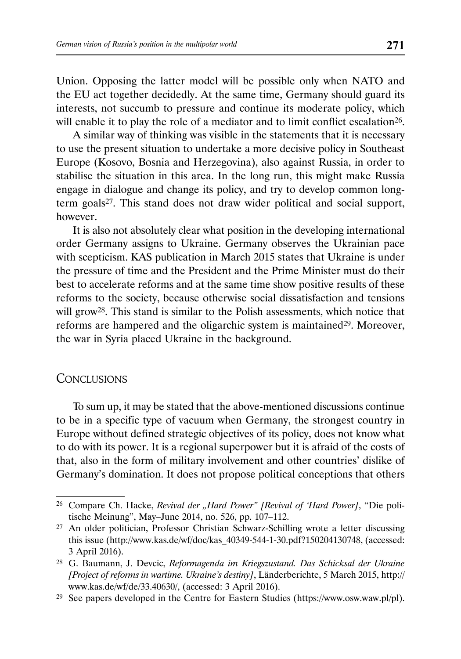Union. Opposing the latter model will be possible only when NATO and the EU act together decidedly. At the same time, Germany should guard its interests, not succumb to pressure and continue its moderate policy, which will enable it to play the role of a mediator and to limit conflict escalation<sup>26</sup>.

A similar way of thinking was visible in the statements that it is necessary to use the present situation to undertake a more decisive policy in Southeast Europe (Kosovo, Bosnia and Herzegovina), also against Russia, in order to stabilise the situation in this area. In the long run, this might make Russia engage in dialogue and change its policy, and try to develop common longterm goals27. This stand does not draw wider political and social support, however.

It is also not absolutely clear what position in the developing international order Germany assigns to Ukraine. Germany observes the Ukrainian pace with scepticism. KAS publication in March 2015 states that Ukraine is under the pressure of time and the President and the Prime Minister must do their best to accelerate reforms and at the same time show positive results of these reforms to the society, because otherwise social dissatisfaction and tensions will grow<sup>28</sup>. This stand is similar to the Polish assessments, which notice that reforms are hampered and the oligarchic system is maintained<sup>29</sup>. Moreover, the war in Syria placed Ukraine in the background.

## **CONCLUSIONS**

To sum up, it may be stated that the above-mentioned discussions continue to be in a specific type of vacuum when Germany, the strongest country in Europe without defined strategic objectives of its policy, does not know what to do with its power. It is a regional superpower but it is afraid of the costs of that, also in the form of military involvement and other countries' dislike of Germany's domination. It does not propose political conceptions that others

<sup>26</sup> Compare Ch. Hacke, *Revival der "Hard Power" [Revival of 'Hard Power]*, "Die politische Meinung", May–June 2014, no. 526, pp. 107–112.

<sup>27</sup> An older politician, Professor Christian Schwarz-Schilling wrote a letter discussing this issue (http://www.kas.de/wf/doc/kas\_40349-544-1-30.pdf?150204130748, (accessed: 3 April 2016).

<sup>28</sup> G. Baumann, J. Devcic, *Reformagenda im Kriegszustand. Das Schicksal der Ukraine [Project of reforms in wartime. Ukraine's destiny]*, Länderberichte, 5 March 2015, http:// www.kas.de/wf/de/33.40630/, (accessed: 3 April 2016).

<sup>29</sup> See papers developed in the Centre for Eastern Studies (https://www.osw.waw.pl/pl).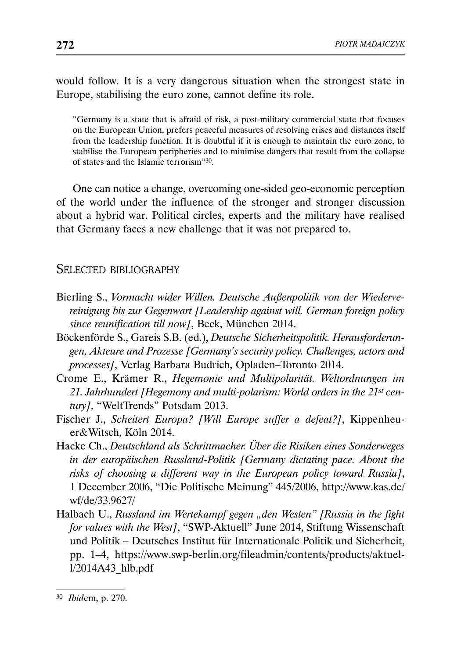would follow. It is a very dangerous situation when the strongest state in Europe, stabilising the euro zone, cannot define its role.

"Germany is a state that is afraid of risk, a post-military commercial state that focuses on the European Union, prefers peaceful measures of resolving crises and distances itself from the leadership function. It is doubtful if it is enough to maintain the euro zone, to stabilise the European peripheries and to minimise dangers that result from the collapse of states and the Islamic terrorism"30.

One can notice a change, overcoming one-sided geo-economic perception of the world under the influence of the stronger and stronger discussion about a hybrid war. Political circles, experts and the military have realised that Germany faces a new challenge that it was not prepared to.

### SELECTED BIBLIOGRAPHY

- Bierling S., *Vormacht wider Willen. Deutsche Außenpolitik von der Wiedervereinigung bis zur Gegenwart [Leadership against will. German foreign policy since reunification till now]*, Beck, München 2014.
- Böckenförde S., Gareis S.B. (ed.), *Deutsche Sicherheitspolitik. Herausforderungen, Akteure und Prozesse [Germany's security policy. Challenges, actors and processes]*, Verlag Barbara Budrich, Opladen–Toronto 2014.
- Crome E., Krämer R., *Hegemonie und Multipolarität. Weltordnungen im 21. Jahrhundert [Hegemony and multi-polarism: World orders in the 21st century]*, "WeltTrends" Potsdam 2013.
- Fischer J., *Scheitert Europa? [Will Europe suffer a defeat?]*, Kippenheuer&Witsch, Köln 2014.
- Hacke Ch., *Deutschland als Schrittmacher. Über die Risiken eines Sonderweges in der europäischen Russland-Politik [Germany dictating pace. About the risks of choosing a different way in the European policy toward Russia]*, 1 December 2006, "Die Politische Meinung" 445/2006, http://www.kas.de/ wf/de/33.9627/
- Halbach U., *Russland im Wertekampf gegen "den Westen" [Russia in the fight for values with the West]*, "SWP-Aktuell" June 2014, Stiftung Wissenschaft und Politik – Deutsches Institut für Internationale Politik und Sicherheit, pp. 1–4, https://www.swp-berlin.org/fileadmin/contents/products/aktuell/2014A43\_hlb.pdf

<sup>30</sup> *Ibid*em, p. 270.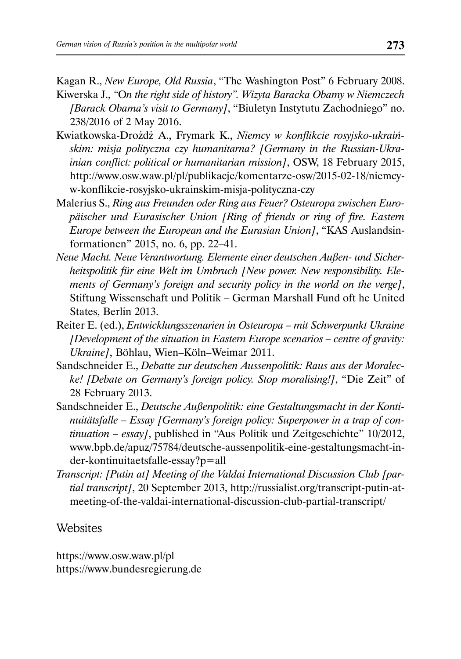Kagan R., *New Europe, Old Russia*, "The Washington Post" 6 February 2008. Kiwerska J., *"*O*n the right side of history". Wizyta Baracka Obamy w Niemczech* 

- *[Barack Obama's visit to Germany]*, "Biuletyn Instytutu Zachodniego" no. 238/2016 of 2 May 2016.
- Kwiatkowska-Drożdż A., Frymark K., *Niemcy w konflikcie rosyjsko-ukraińskim: misja polityczna czy humanitarna? [Germany in the Russian-Ukrainian conflict: political or humanitarian mission]*, OSW, 18 February 2015, http://www.osw.waw.pl/pl/publikacje/komentarze-osw/2015-02-18/niemcyw-konflikcie-rosyjsko-ukrainskim-misja-polityczna-czy
- Malerius S., *Ring aus Freunden oder Ring aus Feuer? Osteuropa zwischen Europäischer und Eurasischer Union [Ring of friends or ring of fire. Eastern Europe between the European and the Eurasian Union]*, "KAS Auslandsinformationen" 2015, no. 6, pp. 22–41.
- *Neue Macht. Neue Verantwortung. Elemente einer deutschen Außen- und Sicherheitspolitik für eine Welt im Umbruch [New power. New responsibility. Elements of Germany's foreign and security policy in the world on the verge]*, Stiftung Wissenschaft und Politik – German Marshall Fund oft he United States, Berlin 2013.
- Reiter E. (ed.), *Entwicklungsszenarien in Osteuropa mit Schwerpunkt Ukraine [Development of the situation in Eastern Europe scenarios – centre of gravity: Ukraine]*, Böhlau, Wien–Köln–Weimar 2011.
- Sandschneider E., *Debatte zur deutschen Aussenpolitik: Raus aus der Moralecke! [Debate on Germany's foreign policy. Stop moralising!]*, "Die Zeit" of 28 February 2013.
- Sandschneider E., *Deutsche Außenpolitik: eine Gestaltungsmacht in der Kontinuitätsfalle – Essay [Germany's foreign policy: Superpower in a trap of continuation – essay]*, published in "Aus Politik und Zeitgeschichte" 10/2012, www.bpb.de/apuz/75784/deutsche-aussenpolitik-eine-gestaltungsmacht-inder-kontinuitaetsfalle-essay?p=all
- *Transcript: [Putin at] Meeting of the Valdai International Discussion Club [partial transcript]*, 20 September 2013, http://russialist.org/transcript-putin-atmeeting-of-the-valdai-international-discussion-club-partial-transcript/

## **Websites**

https://www.osw.waw.pl/pl https://www.bundesregierung.de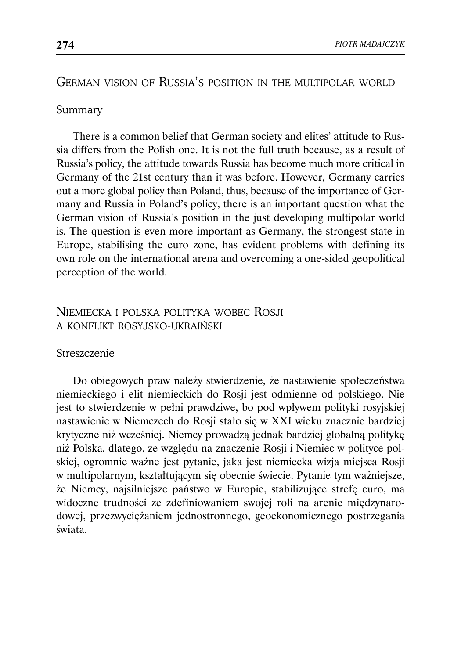# GERMAN VISION OF RUSSIA'S POSITION IN THE MULTIPOLAR WORLD

### Summary

There is a common belief that German society and elites' attitude to Russia differs from the Polish one. It is not the full truth because, as a result of Russia's policy, the attitude towards Russia has become much more critical in Germany of the 21st century than it was before. However, Germany carries out a more global policy than Poland, thus, because of the importance of Germany and Russia in Poland's policy, there is an important question what the German vision of Russia's position in the just developing multipolar world is. The question is even more important as Germany, the strongest state in Europe, stabilising the euro zone, has evident problems with defining its own role on the international arena and overcoming a one-sided geopolitical perception of the world.

# NIEMIECKA I POLSKA POLITYKA WOBEC ROSJI A KONFLIKT ROSYJSKO-UKRAIŃSKI

#### Streszczenie

Do obiegowych praw należy stwierdzenie, że nastawienie społeczeństwa niemieckiego i elit niemieckich do Rosji jest odmienne od polskiego. Nie jest to stwierdzenie w pełni prawdziwe, bo pod wpływem polityki rosyjskiej nastawienie w Niemczech do Rosji stało się w XXI wieku znacznie bardziej krytyczne niż wcześniej. Niemcy prowadzą jednak bardziej globalną politykę niż Polska, dlatego, ze względu na znaczenie Rosji i Niemiec w polityce polskiej, ogromnie ważne jest pytanie, jaka jest niemiecka wizja miejsca Rosji w multipolarnym, kształtującym się obecnie świecie. Pytanie tym ważniejsze, że Niemcy, najsilniejsze państwo w Europie, stabilizujące strefę euro, ma widoczne trudności ze zdefiniowaniem swojej roli na arenie międzynarodowej, przezwyciężaniem jednostronnego, geoekonomicznego postrzegania świata.